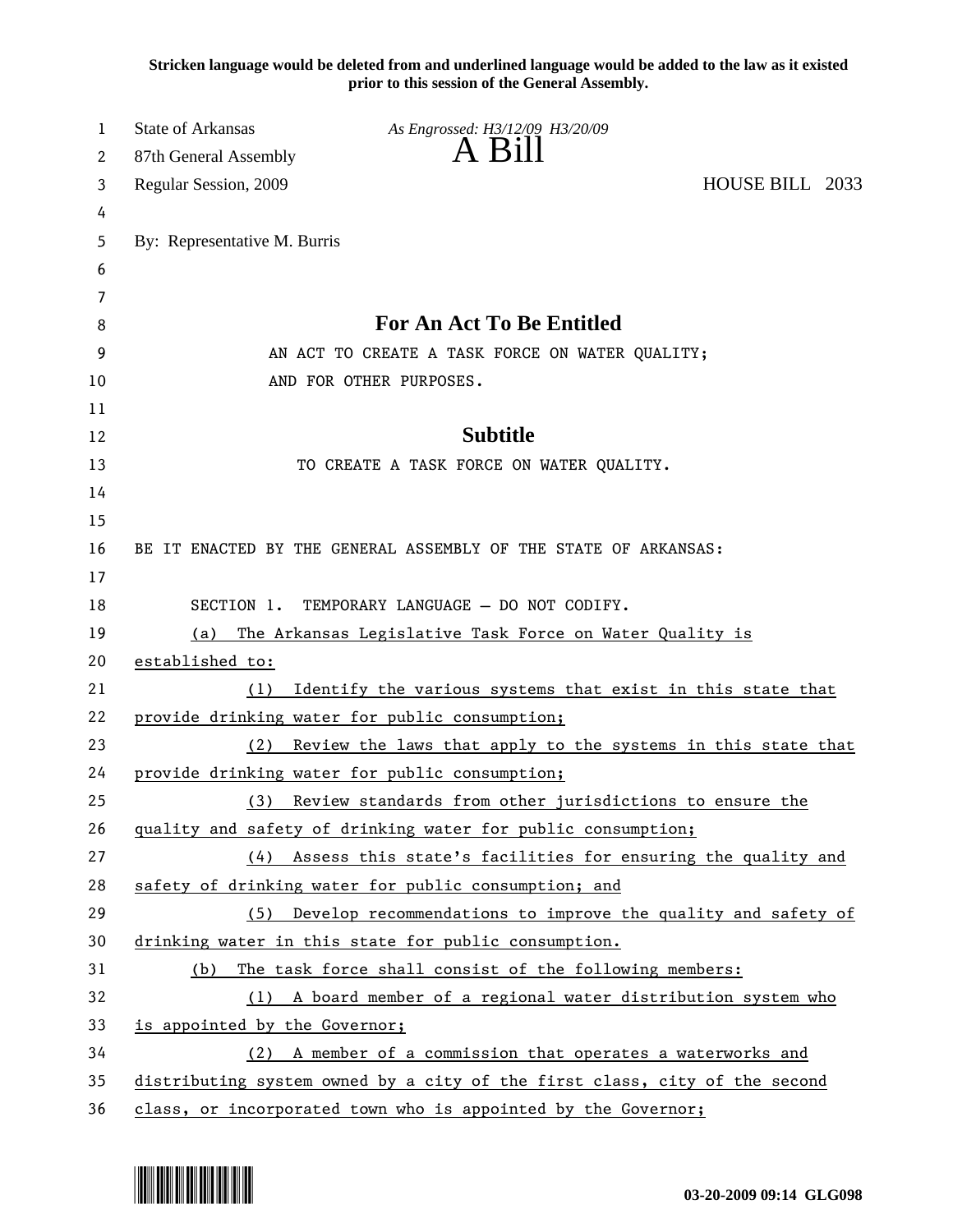**Stricken language would be deleted from and underlined language would be added to the law as it existed prior to this session of the General Assembly.**

| 1        | State of Arkansas             | As Engrossed: H3/12/09 H3/20/09                                                                                                           |                 |
|----------|-------------------------------|-------------------------------------------------------------------------------------------------------------------------------------------|-----------------|
| 2        | 87th General Assembly         | A Bill                                                                                                                                    |                 |
| 3        | Regular Session, 2009         |                                                                                                                                           | HOUSE BILL 2033 |
| 4        |                               |                                                                                                                                           |                 |
| 5        | By: Representative M. Burris  |                                                                                                                                           |                 |
| 6        |                               |                                                                                                                                           |                 |
| 7        |                               |                                                                                                                                           |                 |
| 8        |                               | For An Act To Be Entitled                                                                                                                 |                 |
| 9        |                               | AN ACT TO CREATE A TASK FORCE ON WATER QUALITY;                                                                                           |                 |
| 10       |                               | AND FOR OTHER PURPOSES.                                                                                                                   |                 |
| 11       |                               |                                                                                                                                           |                 |
| 12       |                               | <b>Subtitle</b>                                                                                                                           |                 |
| 13       |                               | TO CREATE A TASK FORCE ON WATER QUALITY.                                                                                                  |                 |
| 14       |                               |                                                                                                                                           |                 |
| 15       |                               |                                                                                                                                           |                 |
| 16       |                               | BE IT ENACTED BY THE GENERAL ASSEMBLY OF THE STATE OF ARKANSAS:                                                                           |                 |
| 17       |                               |                                                                                                                                           |                 |
| 18       |                               | SECTION 1. TEMPORARY LANGUAGE - DO NOT CODIFY.                                                                                            |                 |
| 19       | (a)                           | The Arkansas Legislative Task Force on Water Quality is                                                                                   |                 |
| 20       | established to:               |                                                                                                                                           |                 |
| 21       | (1)                           | Identify the various systems that exist in this state that                                                                                |                 |
| 22       |                               | provide drinking water for public consumption;                                                                                            |                 |
| 23       | (2)                           | Review the laws that apply to the systems in this state that                                                                              |                 |
| 24       |                               | provide drinking water for public consumption;                                                                                            |                 |
| 25       | (3)                           | Review standards from other jurisdictions to ensure the                                                                                   |                 |
| 26       |                               | quality and safety of drinking water for public consumption;                                                                              |                 |
| 27       |                               | (4) Assess this state's facilities for ensuring the quality and                                                                           |                 |
| 28       |                               | safety of drinking water for public consumption; and                                                                                      |                 |
| 29       | (5)                           | Develop recommendations to improve the quality and safety of                                                                              |                 |
| 30       |                               | drinking water in this state for public consumption.                                                                                      |                 |
| 31       | (b)                           | The task force shall consist of the following members:                                                                                    |                 |
| 32<br>33 |                               | (1) A board member of a regional water distribution system who                                                                            |                 |
|          | is appointed by the Governor; |                                                                                                                                           |                 |
|          |                               |                                                                                                                                           |                 |
| 34<br>35 |                               | (2) A member of a commission that operates a waterworks and<br>distributing system owned by a city of the first class, city of the second |                 |

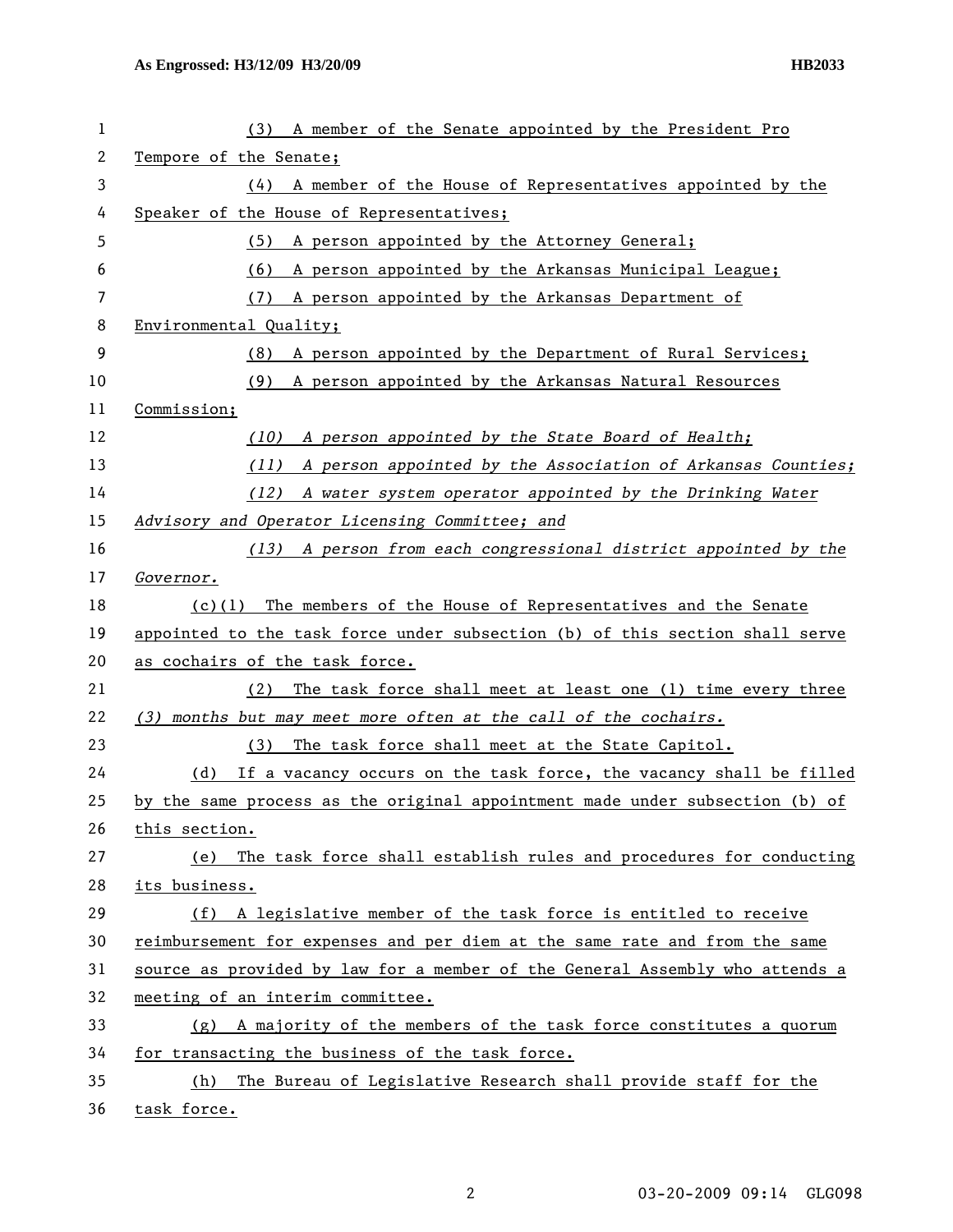| 1              | A member of the Senate appointed by the President Pro<br>(3)                 |  |  |
|----------------|------------------------------------------------------------------------------|--|--|
| $\overline{c}$ | Tempore of the Senate;                                                       |  |  |
| 3              | A member of the House of Representatives appointed by the<br>(4)             |  |  |
| 4              | Speaker of the House of Representatives;                                     |  |  |
| 5              | A person appointed by the Attorney General;<br>(5)                           |  |  |
| 6              | A person appointed by the Arkansas Municipal League;<br>(6)                  |  |  |
| 7              | A person appointed by the Arkansas Department of<br>(7)                      |  |  |
| 8              | Environmental Quality;                                                       |  |  |
| 9              | A person appointed by the Department of Rural Services;<br>(8)               |  |  |
| 10             | A person appointed by the Arkansas Natural Resources<br>(9)                  |  |  |
| 11             | Commission;                                                                  |  |  |
| 12             | A person appointed by the State Board of Health;<br>(10)                     |  |  |
| 13             | A person appointed by the Association of Arkansas Counties;<br>(11)          |  |  |
| 14             | (12)<br>A water system operator appointed by the Drinking Water              |  |  |
| 15             | Advisory and Operator Licensing Committee; and                               |  |  |
| 16             | A person from each congressional district appointed by the<br>(13)           |  |  |
| 17             | Governor.                                                                    |  |  |
| 18             | The members of the House of Representatives and the Senate<br>(c)(1)         |  |  |
| 19             | appointed to the task force under subsection (b) of this section shall serve |  |  |
| 20             | as cochairs of the task force.                                               |  |  |
| 21             | The task force shall meet at least one (1) time every three<br>(2)           |  |  |
| 22             | (3) months but may meet more often at the call of the cochairs.              |  |  |
| 23             | The task force shall meet at the State Capitol.<br>(3)                       |  |  |
| 24             | If a vacancy occurs on the task force, the vacancy shall be filled<br>(d)    |  |  |
| 25             | by the same process as the original appointment made under subsection (b) of |  |  |
| 26             | this section.                                                                |  |  |
| 27             | The task force shall establish rules and procedures for conducting<br>(e)    |  |  |
| 28             | its business.                                                                |  |  |
| 29             | A legislative member of the task force is entitled to receive<br>(f)         |  |  |
| 30             | reimbursement for expenses and per diem at the same rate and from the same   |  |  |
| 31             | source as provided by law for a member of the General Assembly who attends a |  |  |
| 32             | meeting of an interim committee.                                             |  |  |
| 33             | A majority of the members of the task force constitutes a quorum<br>(g)      |  |  |
| 34             | for transacting the business of the task force.                              |  |  |
| 35             | The Bureau of Legislative Research shall provide staff for the<br>(h)        |  |  |
| 36             | task force.                                                                  |  |  |